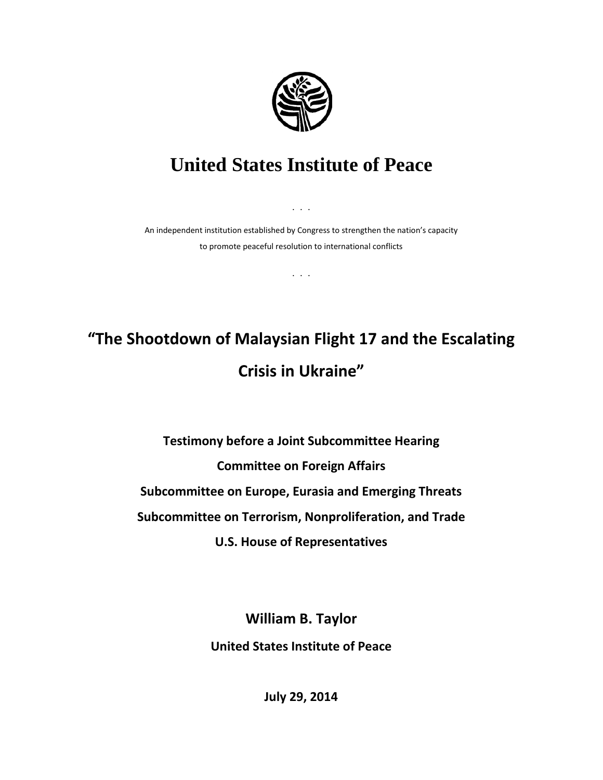

## **United States Institute of Peace**

An independent institution established by Congress to strengthen the nation's capacity to promote peaceful resolution to international conflicts

. . .

. . .

## **"The Shootdown of Malaysian Flight 17 and the Escalating Crisis in Ukraine"**

**Testimony before a Joint Subcommittee Hearing Committee on Foreign Affairs Subcommittee on Europe, Eurasia and Emerging Threats Subcommittee on Terrorism, Nonproliferation, and Trade U.S. House of Representatives**

> **William B. Taylor United States Institute of Peace**

> > **July 29, 2014**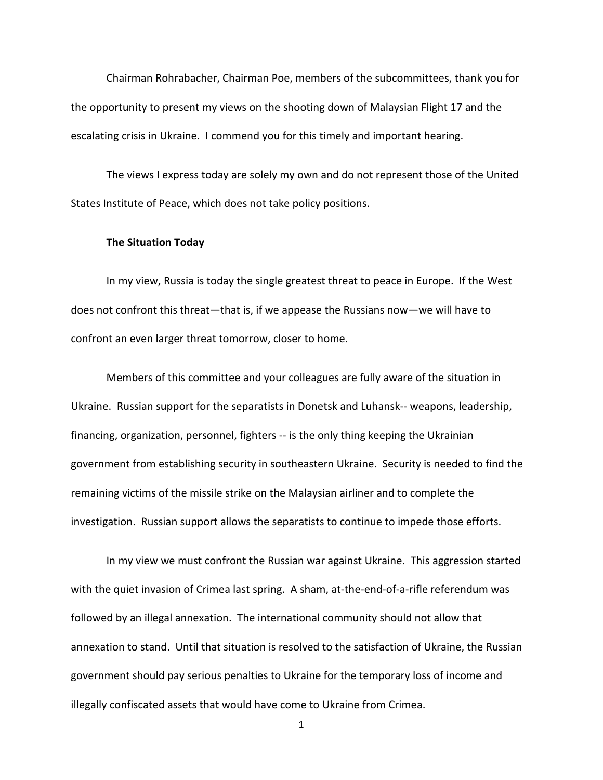Chairman Rohrabacher, Chairman Poe, members of the subcommittees, thank you for the opportunity to present my views on the shooting down of Malaysian Flight 17 and the escalating crisis in Ukraine. I commend you for this timely and important hearing.

The views I express today are solely my own and do not represent those of the United States Institute of Peace, which does not take policy positions.

## **The Situation Today**

In my view, Russia is today the single greatest threat to peace in Europe. If the West does not confront this threat—that is, if we appease the Russians now—we will have to confront an even larger threat tomorrow, closer to home.

Members of this committee and your colleagues are fully aware of the situation in Ukraine. Russian support for the separatists in Donetsk and Luhansk-- weapons, leadership, financing, organization, personnel, fighters -- is the only thing keeping the Ukrainian government from establishing security in southeastern Ukraine. Security is needed to find the remaining victims of the missile strike on the Malaysian airliner and to complete the investigation. Russian support allows the separatists to continue to impede those efforts.

In my view we must confront the Russian war against Ukraine. This aggression started with the quiet invasion of Crimea last spring. A sham, at-the-end-of-a-rifle referendum was followed by an illegal annexation. The international community should not allow that annexation to stand. Until that situation is resolved to the satisfaction of Ukraine, the Russian government should pay serious penalties to Ukraine for the temporary loss of income and illegally confiscated assets that would have come to Ukraine from Crimea.

1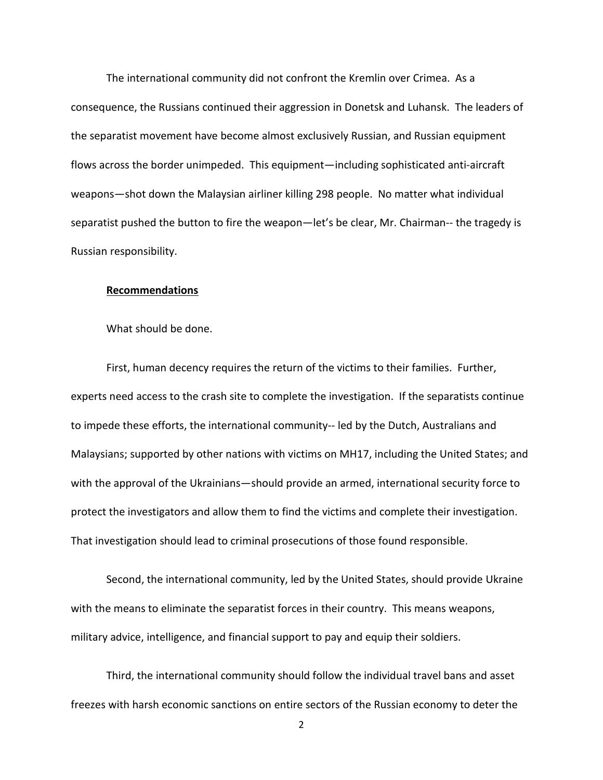The international community did not confront the Kremlin over Crimea. As a consequence, the Russians continued their aggression in Donetsk and Luhansk. The leaders of the separatist movement have become almost exclusively Russian, and Russian equipment flows across the border unimpeded. This equipment—including sophisticated anti-aircraft weapons—shot down the Malaysian airliner killing 298 people. No matter what individual separatist pushed the button to fire the weapon—let's be clear, Mr. Chairman-- the tragedy is Russian responsibility.

## **Recommendations**

What should be done.

First, human decency requires the return of the victims to their families. Further, experts need access to the crash site to complete the investigation. If the separatists continue to impede these efforts, the international community-- led by the Dutch, Australians and Malaysians; supported by other nations with victims on MH17, including the United States; and with the approval of the Ukrainians—should provide an armed, international security force to protect the investigators and allow them to find the victims and complete their investigation. That investigation should lead to criminal prosecutions of those found responsible.

Second, the international community, led by the United States, should provide Ukraine with the means to eliminate the separatist forces in their country. This means weapons, military advice, intelligence, and financial support to pay and equip their soldiers.

Third, the international community should follow the individual travel bans and asset freezes with harsh economic sanctions on entire sectors of the Russian economy to deter the